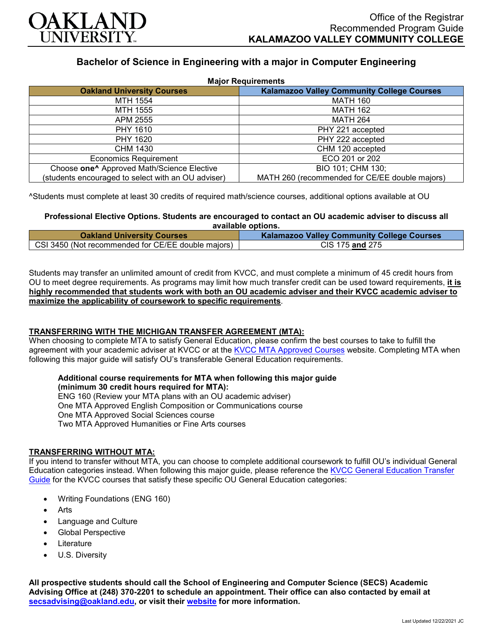

# **Bachelor of Science in Engineering with a major in Computer Engineering**

| <b>Major Requirements</b>                              |                                                   |
|--------------------------------------------------------|---------------------------------------------------|
| <b>Oakland University Courses</b>                      | <b>Kalamazoo Valley Community College Courses</b> |
| MTH 1554                                               | <b>MATH 160</b>                                   |
| MTH 1555                                               | <b>MATH 162</b>                                   |
| APM 2555                                               | <b>MATH 264</b>                                   |
| PHY 1610                                               | PHY 221 accepted                                  |
| PHY 1620                                               | PHY 222 accepted                                  |
| CHM 1430                                               | CHM 120 accepted                                  |
| <b>Economics Requirement</b>                           | ECO 201 or 202                                    |
| Choose one <sup>^</sup> Approved Math/Science Elective | BIO 101; CHM 130;                                 |
| (students encouraged to select with an OU adviser)     | MATH 260 (recommended for CE/EE double majors)    |

^Students must complete at least 30 credits of required math/science courses, additional options available at OU

# **Professional Elective Options. Students are encouraged to contact an OU academic adviser to discuss all available options.**

| <b>Oakland University Courses</b>                  | <b>Kalamazoo Valley Community College Courses</b> |
|----------------------------------------------------|---------------------------------------------------|
| CSI 3450 (Not recommended for CE/EE double majors) | CIS 175 and 275                                   |

Students may transfer an unlimited amount of credit from KVCC, and must complete a minimum of 45 credit hours from OU to meet degree requirements. As programs may limit how much transfer credit can be used toward requirements, **it is highly recommended that students work with both an OU academic adviser and their KVCC academic adviser to maximize the applicability of coursework to specific requirements**.

# **TRANSFERRING WITH THE MICHIGAN TRANSFER AGREEMENT (MTA):**

When choosing to complete MTA to satisfy General Education, please confirm the best courses to take to fulfill the agreement with your academic adviser at KVCC or at the [KVCC MTA Approved Courses](https://www.kvcc.edu/programs/mta.php) website. Completing MTA when following this major guide will satisfy OU's transferable General Education requirements.

#### **Additional course requirements for MTA when following this major guide (minimum 30 credit hours required for MTA):**

ENG 160 (Review your MTA plans with an OU academic adviser) One MTA Approved English Composition or Communications course One MTA Approved Social Sciences course Two MTA Approved Humanities or Fine Arts courses

## **TRANSFERRING WITHOUT MTA:**

If you intend to transfer without MTA, you can choose to complete additional coursework to fulfill OU's individual General Education categories instead. When following this major guide, please reference the [KVCC General Education Transfer](https://www.oakland.edu/Assets/Oakland/program-guides/kalamazoo-valley-community-college/university-general-education-requirements/Kalamazoo%20Valley%20Gen%20Ed.pdf)  [Guide](https://www.oakland.edu/Assets/Oakland/program-guides/kalamazoo-valley-community-college/university-general-education-requirements/Kalamazoo%20Valley%20Gen%20Ed.pdf) for the KVCC courses that satisfy these specific OU General Education categories:

- Writing Foundations (ENG 160)
- **Arts**
- Language and Culture
- Global Perspective
- **Literature**
- U.S. Diversity

**All prospective students should call the School of Engineering and Computer Science (SECS) Academic Advising Office at (248) 370-2201 to schedule an appointment. Their office can also contacted by email at [secsadvising@oakland.edu,](mailto:secsadvising@oakland.edu) or visit their [website](https://wwwp.oakland.edu/secs/advising/) for more information.**